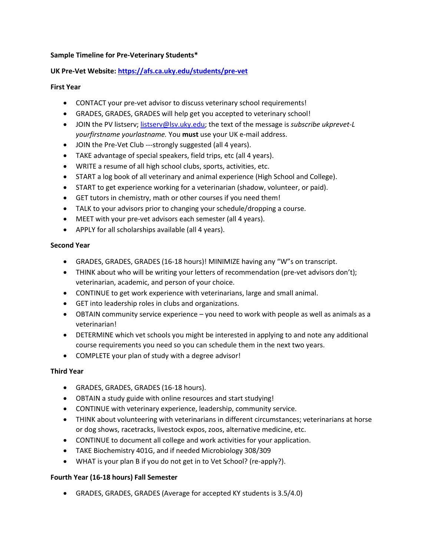### **Sample Timeline for Pre-Veterinary Students\***

### **UK Pre-Vet Website:<https://afs.ca.uky.edu/students/pre-vet>**

#### **First Year**

- CONTACT your pre-vet advisor to discuss veterinary school requirements!
- GRADES, GRADES, GRADES will help get you accepted to veterinary school!
- JOIN the PV listserv; [listserv@lsv.uky.edu;](mailto:listserv@lsv.uky.edu) the text of the message is *subscribe ukprevet-L yourfirstname yourlastname.* You **must** use your UK e-mail address.
- JOIN the Pre-Vet Club ---strongly suggested (all 4 years).
- TAKE advantage of special speakers, field trips, etc (all 4 years).
- WRITE a resume of all high school clubs, sports, activities, etc.
- START a log book of all veterinary and animal experience (High School and College).
- START to get experience working for a veterinarian (shadow, volunteer, or paid).
- GET tutors in chemistry, math or other courses if you need them!
- TALK to your advisors prior to changing your schedule/dropping a course.
- MEET with your pre-vet advisors each semester (all 4 years).
- APPLY for all scholarships available (all 4 years).

### **Second Year**

- GRADES, GRADES, GRADES (16-18 hours)! MINIMIZE having any "W"s on transcript.
- THINK about who will be writing your letters of recommendation (pre-vet advisors don't); veterinarian, academic, and person of your choice.
- CONTINUE to get work experience with veterinarians, large and small animal.
- GET into leadership roles in clubs and organizations.
- OBTAIN community service experience you need to work with people as well as animals as a veterinarian!
- DETERMINE which vet schools you might be interested in applying to and note any additional course requirements you need so you can schedule them in the next two years.
- COMPLETE your plan of study with a degree advisor!

# **Third Year**

- GRADES, GRADES, GRADES (16-18 hours).
- OBTAIN a study guide with online resources and start studying!
- CONTINUE with veterinary experience, leadership, community service.
- THINK about volunteering with veterinarians in different circumstances; veterinarians at horse or dog shows, racetracks, livestock expos, zoos, alternative medicine, etc.
- CONTINUE to document all college and work activities for your application.
- TAKE Biochemistry 401G, and if needed Microbiology 308/309
- WHAT is your plan B if you do not get in to Vet School? (re-apply?).

# **Fourth Year (16-18 hours) Fall Semester**

GRADES, GRADES, GRADES (Average for accepted KY students is 3.5/4.0)